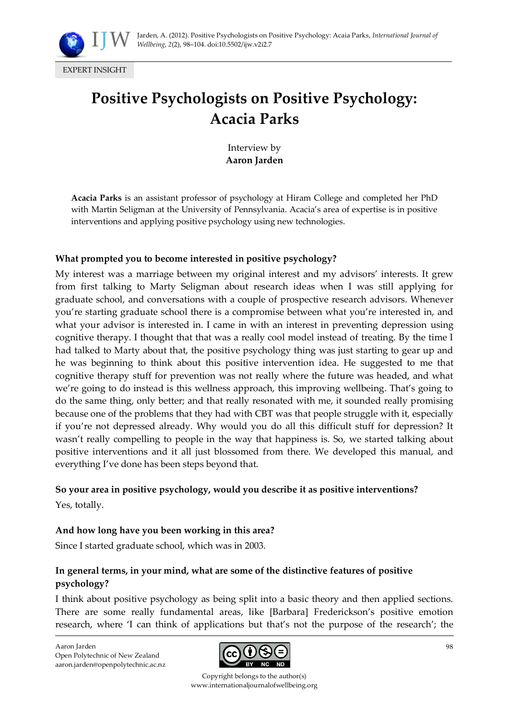

# **Positive Psychologists on Positive Psychology:**

Interview by **Aaron Jarden**

**Acacia Parks**

**Acacia Parks** is an assistant professor of psychology at Hiram College and completed her PhD with Martin Seligman at the University of Pennsylvania. Acacia's area of expertise is in positive interventions and applying positive psychology using new technologies.

#### **What prompted you to become interested in positive psychology?**

My interest was a marriage between my original interest and my advisors' interests. It grew from first talking to Marty Seligman about research ideas when I was still applying for graduate school, and conversations with a couple of prospective research advisors. Whenever you're starting graduate school there is a compromise between what you're interested in, and what your advisor is interested in. I came in with an interest in preventing depression using cognitive therapy. I thought that that was a really cool model instead of treating. By the time I had talked to Marty about that, the positive psychology thing was just starting to gear up and he was beginning to think about this positive intervention idea. He suggested to me that cognitive therapy stuff for prevention was not really where the future was headed, and what we're going to do instead is this wellness approach, this improving wellbeing. That's going to do the same thing, only better; and that really resonated with me, it sounded really promising because one of the problems that they had with CBT was that people struggle with it, especially if you're not depressed already. Why would you do all this difficult stuff for depression? It wasn't really compelling to people in the way that happiness is. So, we started talking about positive interventions and it all just blossomed from there. We developed this manual, and everything I've done has been steps beyond that.

#### **So your area in positive psychology, would you describe it as positive interventions?**

Yes, totally.

# **And how long have you been working in this area?**

Since I started graduate school, which was in 2003.

# **In general terms, in your mind, what are some of the distinctive features of positive psychology?**

I think about positive psychology as being split into a basic theory and then applied sections. There are some really fundamental areas, like [Barbara] Frederickson's positive emotion research, where 'I can think of applications but that's not the purpose of the research'; the

Aaron Jarden Open Polytechnic of New Zealand aaron.jarden@openpolytechnic.ac.nz



Copyright belongs to the author(s) www.internationaljournalofwellbeing.org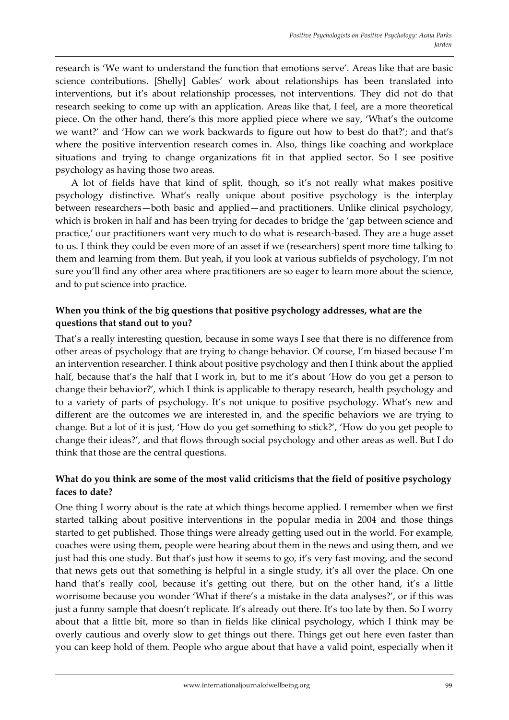research is 'We want to understand the function that emotions serve'. Areas like that are basic science contributions. [Shelly] Gables' work about relationships has been translated into interventions, but it's about relationship processes, not interventions. They did not do that research seeking to come up with an application. Areas like that, I feel, are a more theoretical piece. On the other hand, there's this more applied piece where we say, 'What's the outcome we want?' and 'How can we work backwards to figure out how to best do that?'; and that's where the positive intervention research comes in. Also, things like coaching and workplace situations and trying to change organizations fit in that applied sector. So I see positive psychology as having those two areas.

A lot of fields have that kind of split, though, so it's not really what makes positive psychology distinctive. What's really unique about positive psychology is the interplay between researchers—both basic and applied—and practitioners. Unlike clinical psychology, which is broken in half and has been trying for decades to bridge the 'gap between science and practice,' our practitioners want very much to do what is research-based. They are a huge asset to us. I think they could be even more of an asset if we (researchers) spent more time talking to them and learning from them. But yeah, if you look at various subfields of psychology, I'm not sure you'll find any other area where practitioners are so eager to learn more about the science, and to put science into practice.

#### **When you think of the big questions that positive psychology addresses, what are the questions that stand out to you?**

That's a really interesting question, because in some ways I see that there is no difference from other areas of psychology that are trying to change behavior. Of course, I'm biased because I'm an intervention researcher. I think about positive psychology and then I think about the applied half, because that's the half that I work in, but to me it's about 'How do you get a person to change their behavior?', which I think is applicable to therapy research, health psychology and to a variety of parts of psychology. It's not unique to positive psychology. What's new and different are the outcomes we are interested in, and the specific behaviors we are trying to change. But a lot of it is just, 'How do you get something to stick?', 'How do you get people to change their ideas?', and that flows through social psychology and other areas as well. But I do think that those are the central questions.

# **What do you think are some of the most valid criticisms that the field of positive psychology faces to date?**

One thing I worry about is the rate at which things become applied. I remember when we first started talking about positive interventions in the popular media in 2004 and those things started to get published. Those things were already getting used out in the world. For example, coaches were using them, people were hearing about them in the news and using them, and we just had this one study. But that's just how it seems to go, it's very fast moving, and the second that news gets out that something is helpful in a single study, it's all over the place. On one hand that's really cool, because it's getting out there, but on the other hand, it's a little worrisome because you wonder 'What if there's a mistake in the data analyses?', or if this was just a funny sample that doesn't replicate. It's already out there. It's too late by then. So I worry about that a little bit, more so than in fields like clinical psychology, which I think may be overly cautious and overly slow to get things out there. Things get out here even faster than you can keep hold of them. People who argue about that have a valid point, especially when it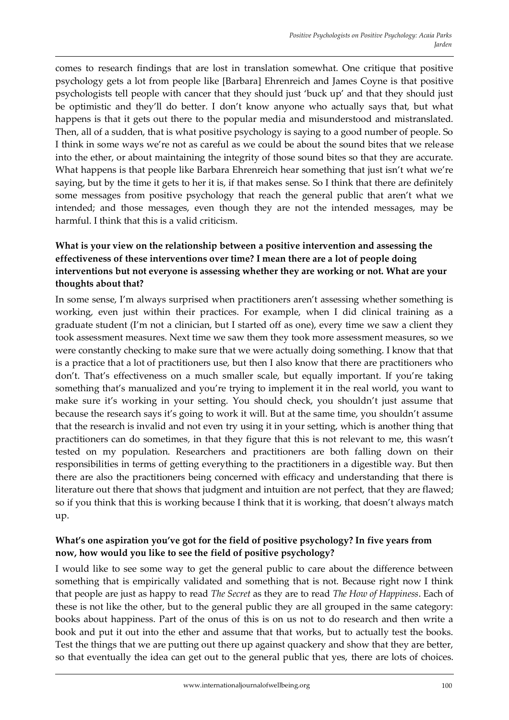comes to research findings that are lost in translation somewhat. One critique that positive psychology gets a lot from people like [Barbara] Ehrenreich and James Coyne is that positive psychologists tell people with cancer that they should just 'buck up' and that they should just be optimistic and they'll do better. I don't know anyone who actually says that, but what happens is that it gets out there to the popular media and misunderstood and mistranslated. Then, all of a sudden, that is what positive psychology is saying to a good number of people. So I think in some ways we're not as careful as we could be about the sound bites that we release into the ether, or about maintaining the integrity of those sound bites so that they are accurate. What happens is that people like Barbara Ehrenreich hear something that just isn't what we're saying, but by the time it gets to her it is, if that makes sense. So I think that there are definitely some messages from positive psychology that reach the general public that aren't what we intended; and those messages, even though they are not the intended messages, may be harmful. I think that this is a valid criticism.

# **What is your view on the relationship between a positive intervention and assessing the effectiveness of these interventions over time? I mean there are a lot of people doing interventions but not everyone is assessing whether they are working or not. What are your thoughts about that?**

In some sense, I'm always surprised when practitioners aren't assessing whether something is working, even just within their practices. For example, when I did clinical training as a graduate student (I'm not a clinician, but I started off as one), every time we saw a client they took assessment measures. Next time we saw them they took more assessment measures, so we were constantly checking to make sure that we were actually doing something. I know that that is a practice that a lot of practitioners use, but then I also know that there are practitioners who don't. That's effectiveness on a much smaller scale, but equally important. If you're taking something that's manualized and you're trying to implement it in the real world, you want to make sure it's working in your setting. You should check, you shouldn't just assume that because the research says it's going to work it will. But at the same time, you shouldn't assume that the research is invalid and not even try using it in your setting, which is another thing that practitioners can do sometimes, in that they figure that this is not relevant to me, this wasn't tested on my population. Researchers and practitioners are both falling down on their responsibilities in terms of getting everything to the practitioners in a digestible way. But then there are also the practitioners being concerned with efficacy and understanding that there is literature out there that shows that judgment and intuition are not perfect, that they are flawed; so if you think that this is working because I think that it is working, that doesn't always match up.

#### **What's one aspiration you've got for the field of positive psychology? In five years from now, how would you like to see the field of positive psychology?**

I would like to see some way to get the general public to care about the difference between something that is empirically validated and something that is not. Because right now I think that people are just as happy to read *The Secret* as they are to read *The How of Happiness*. Each of these is not like the other, but to the general public they are all grouped in the same category: books about happiness. Part of the onus of this is on us not to do research and then write a book and put it out into the ether and assume that that works, but to actually test the books. Test the things that we are putting out there up against quackery and show that they are better, so that eventually the idea can get out to the general public that yes, there are lots of choices.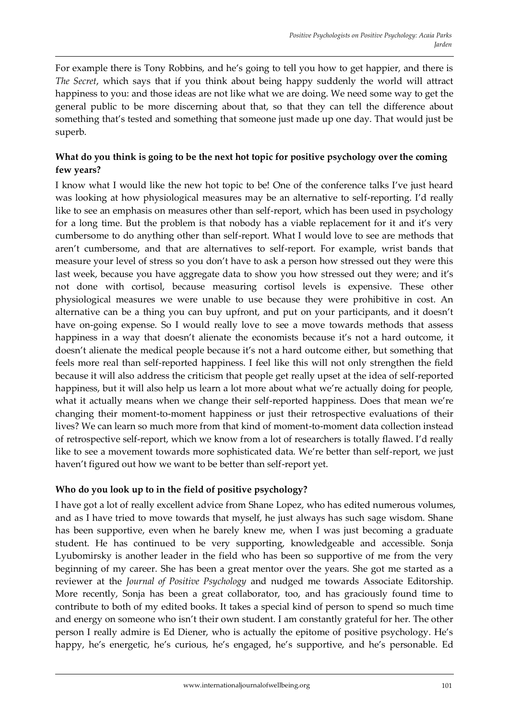For example there is Tony Robbins, and he's going to tell you how to get happier, and there is *The Secret*, which says that if you think about being happy suddenly the world will attract happiness to you: and those ideas are not like what we are doing. We need some way to get the general public to be more discerning about that, so that they can tell the difference about something that's tested and something that someone just made up one day. That would just be superb.

# **What do you think is going to be the next hot topic for positive psychology over the coming few years?**

I know what I would like the new hot topic to be! One of the conference talks I've just heard was looking at how physiological measures may be an alternative to self-reporting. I'd really like to see an emphasis on measures other than self-report, which has been used in psychology for a long time. But the problem is that nobody has a viable replacement for it and it's very cumbersome to do anything other than self-report. What I would love to see are methods that aren't cumbersome, and that are alternatives to self-report. For example, wrist bands that measure your level of stress so you don't have to ask a person how stressed out they were this last week, because you have aggregate data to show you how stressed out they were; and it's not done with cortisol, because measuring cortisol levels is expensive. These other physiological measures we were unable to use because they were prohibitive in cost. An alternative can be a thing you can buy upfront, and put on your participants, and it doesn't have on-going expense. So I would really love to see a move towards methods that assess happiness in a way that doesn't alienate the economists because it's not a hard outcome, it doesn't alienate the medical people because it's not a hard outcome either, but something that feels more real than self-reported happiness. I feel like this will not only strengthen the field because it will also address the criticism that people get really upset at the idea of self-reported happiness, but it will also help us learn a lot more about what we're actually doing for people, what it actually means when we change their self-reported happiness. Does that mean we're changing their moment-to-moment happiness or just their retrospective evaluations of their lives? We can learn so much more from that kind of moment-to-moment data collection instead of retrospective self-report, which we know from a lot of researchers is totally flawed. I'd really like to see a movement towards more sophisticated data. We're better than self-report, we just haven't figured out how we want to be better than self-report yet.

# **Who do you look up to in the field of positive psychology?**

I have got a lot of really excellent advice from Shane Lopez, who has edited numerous volumes, and as I have tried to move towards that myself, he just always has such sage wisdom. Shane has been supportive, even when he barely knew me, when I was just becoming a graduate student. He has continued to be very supporting, knowledgeable and accessible. Sonja Lyubomirsky is another leader in the field who has been so supportive of me from the very beginning of my career. She has been a great mentor over the years. She got me started as a reviewer at the *Journal of Positive Psychology* and nudged me towards Associate Editorship. More recently, Sonja has been a great collaborator, too, and has graciously found time to contribute to both of my edited books. It takes a special kind of person to spend so much time and energy on someone who isn't their own student. I am constantly grateful for her. The other person I really admire is Ed Diener, who is actually the epitome of positive psychology. He's happy, he's energetic, he's curious, he's engaged, he's supportive, and he's personable. Ed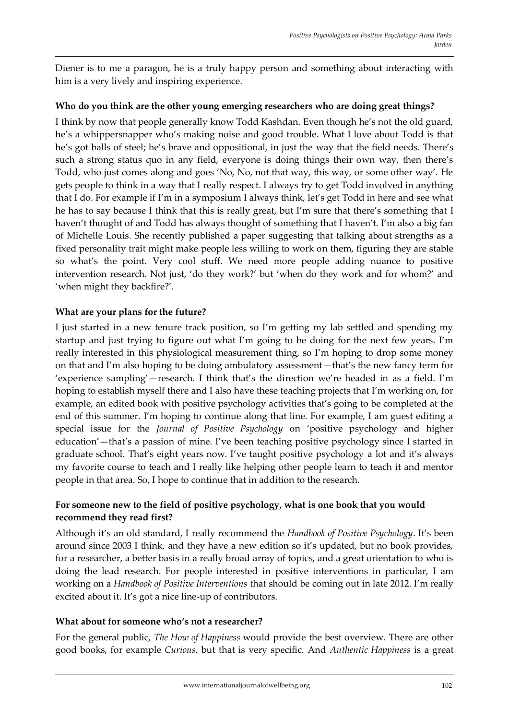Diener is to me a paragon, he is a truly happy person and something about interacting with him is a very lively and inspiring experience.

#### **Who do you think are the other young emerging researchers who are doing great things?**

I think by now that people generally know Todd Kashdan. Even though he's not the old guard, he's a whippersnapper who's making noise and good trouble. What I love about Todd is that he's got balls of steel; he's brave and oppositional, in just the way that the field needs. There's such a strong status quo in any field, everyone is doing things their own way, then there's Todd, who just comes along and goes 'No, No, not that way, this way, or some other way'. He gets people to think in a way that I really respect. I always try to get Todd involved in anything that I do. For example if I'm in a symposium I always think, let's get Todd in here and see what he has to say because I think that this is really great, but I'm sure that there's something that I haven't thought of and Todd has always thought of something that I haven't. I'm also a big fan of Michelle Louis. She recently published a paper suggesting that talking about strengths as a fixed personality trait might make people less willing to work on them, figuring they are stable so what's the point. Very cool stuff. We need more people adding nuance to positive intervention research. Not just, 'do they work?' but 'when do they work and for whom?' and 'when might they backfire?'.

#### **What are your plans for the future?**

I just started in a new tenure track position, so I'm getting my lab settled and spending my startup and just trying to figure out what I'm going to be doing for the next few years. I'm really interested in this physiological measurement thing, so I'm hoping to drop some money on that and I'm also hoping to be doing ambulatory assessment—that's the new fancy term for 'experience sampling'—research. I think that's the direction we're headed in as a field. I'm hoping to establish myself there and I also have these teaching projects that I'm working on, for example, an edited book with positive psychology activities that's going to be completed at the end of this summer. I'm hoping to continue along that line. For example, I am guest editing a special issue for the *Journal of Positive Psychology* on 'positive psychology and higher education'—that's a passion of mine. I've been teaching positive psychology since I started in graduate school. That's eight years now. I've taught positive psychology a lot and it's always my favorite course to teach and I really like helping other people learn to teach it and mentor people in that area. So, I hope to continue that in addition to the research.

# **For someone new to the field of positive psychology, what is one book that you would recommend they read first?**

Although it's an old standard, I really recommend the *Handbook of Positive Psychology*. It's been around since 2003 I think, and they have a new edition so it's updated, but no book provides, for a researcher, a better basis in a really broad array of topics, and a great orientation to who is doing the lead research. For people interested in positive interventions in particular, I am working on a *Handbook of Positive Interventions* that should be coming out in late 2012. I'm really excited about it. It's got a nice line-up of contributors.

#### **What about for someone who's not a researcher?**

For the general public, *The How of Happiness* would provide the best overview. There are other good books, for example *Curious*, but that is very specific. And *Authentic Happiness* is a great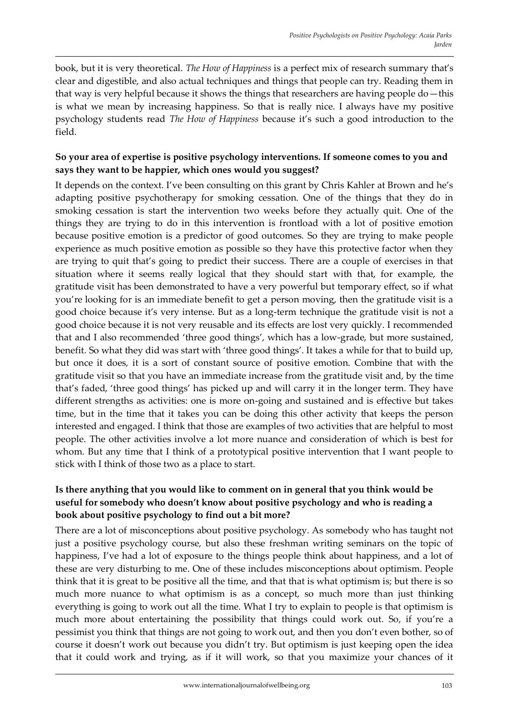book, but it is very theoretical. *The How of Happiness* is a perfect mix of research summary that's clear and digestible, and also actual techniques and things that people can try. Reading them in that way is very helpful because it shows the things that researchers are having people do—this is what we mean by increasing happiness. So that is really nice. I always have my positive psychology students read *The How of Happiness* because it's such a good introduction to the field.

# **So your area of expertise is positive psychology interventions. If someone comes to you and says they want to be happier, which ones would you suggest?**

It depends on the context. I've been consulting on this grant by Chris Kahler at Brown and he's adapting positive psychotherapy for smoking cessation. One of the things that they do in smoking cessation is start the intervention two weeks before they actually quit. One of the things they are trying to do in this intervention is frontload with a lot of positive emotion because positive emotion is a predictor of good outcomes. So they are trying to make people experience as much positive emotion as possible so they have this protective factor when they are trying to quit that's going to predict their success. There are a couple of exercises in that situation where it seems really logical that they should start with that, for example, the gratitude visit has been demonstrated to have a very powerful but temporary effect, so if what you're looking for is an immediate benefit to get a person moving, then the gratitude visit is a good choice because it's very intense. But as a long-term technique the gratitude visit is not a good choice because it is not very reusable and its effects are lost very quickly. I recommended that and I also recommended 'three good things', which has a low-grade, but more sustained, benefit. So what they did was start with 'three good things'. It takes a while for that to build up, but once it does, it is a sort of constant source of positive emotion. Combine that with the gratitude visit so that you have an immediate increase from the gratitude visit and, by the time that's faded, 'three good things' has picked up and will carry it in the longer term. They have different strengths as activities: one is more on-going and sustained and is effective but takes time, but in the time that it takes you can be doing this other activity that keeps the person interested and engaged. I think that those are examples of two activities that are helpful to most people. The other activities involve a lot more nuance and consideration of which is best for whom. But any time that I think of a prototypical positive intervention that I want people to stick with I think of those two as a place to start.

#### **Is there anything that you would like to comment on in general that you think would be useful for somebody who doesn't know about positive psychology and who is reading a book about positive psychology to find out a bit more?**

There are a lot of misconceptions about positive psychology. As somebody who has taught not just a positive psychology course, but also these freshman writing seminars on the topic of happiness, I've had a lot of exposure to the things people think about happiness, and a lot of these are very disturbing to me. One of these includes misconceptions about optimism. People think that it is great to be positive all the time, and that that is what optimism is; but there is so much more nuance to what optimism is as a concept, so much more than just thinking everything is going to work out all the time. What I try to explain to people is that optimism is much more about entertaining the possibility that things could work out. So, if you're a pessimist you think that things are not going to work out, and then you don't even bother, so of course it doesn't work out because you didn't try. But optimism is just keeping open the idea that it could work and trying, as if it will work, so that you maximize your chances of it